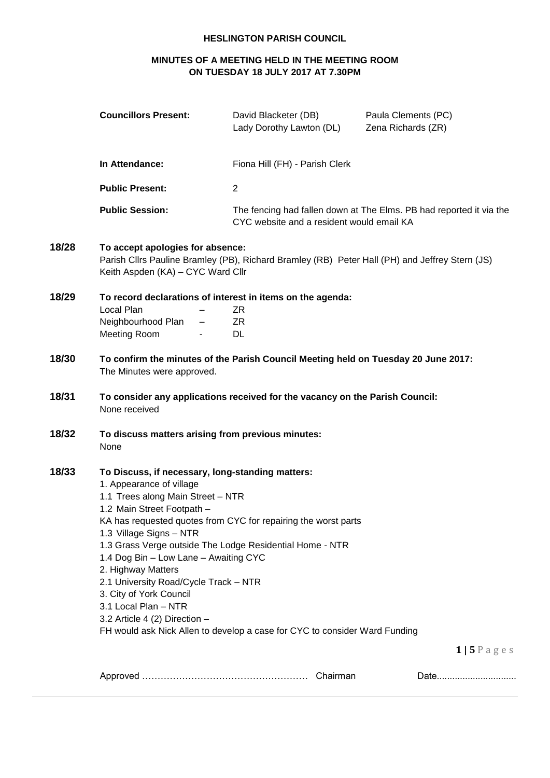# **HESLINGTON PARISH COUNCIL**

# **MINUTES OF A MEETING HELD IN THE MEETING ROOM ON TUESDAY 18 JULY 2017 AT 7.30PM**

|       | <b>Councillors Present:</b>                                                                                                                                                                                                                                                                                                                                                                                                                                                                                                                                                                           | David Blacketer (DB)<br>Lady Dorothy Lawton (DL)                                               | Paula Clements (PC)<br>Zena Richards (ZR)                           |
|-------|-------------------------------------------------------------------------------------------------------------------------------------------------------------------------------------------------------------------------------------------------------------------------------------------------------------------------------------------------------------------------------------------------------------------------------------------------------------------------------------------------------------------------------------------------------------------------------------------------------|------------------------------------------------------------------------------------------------|---------------------------------------------------------------------|
|       | In Attendance:                                                                                                                                                                                                                                                                                                                                                                                                                                                                                                                                                                                        | Fiona Hill (FH) - Parish Clerk                                                                 |                                                                     |
|       | <b>Public Present:</b>                                                                                                                                                                                                                                                                                                                                                                                                                                                                                                                                                                                | $\overline{2}$                                                                                 |                                                                     |
|       | <b>Public Session:</b>                                                                                                                                                                                                                                                                                                                                                                                                                                                                                                                                                                                | CYC website and a resident would email KA                                                      | The fencing had fallen down at The Elms. PB had reported it via the |
| 18/28 | To accept apologies for absence:<br>Keith Aspden (KA) - CYC Ward Cllr                                                                                                                                                                                                                                                                                                                                                                                                                                                                                                                                 | Parish Cllrs Pauline Bramley (PB), Richard Bramley (RB) Peter Hall (PH) and Jeffrey Stern (JS) |                                                                     |
| 18/29 | Local Plan<br>Neighbourhood Plan<br>Meeting Room                                                                                                                                                                                                                                                                                                                                                                                                                                                                                                                                                      | To record declarations of interest in items on the agenda:<br>ZR<br>ZR<br>DL.                  |                                                                     |
| 18/30 | The Minutes were approved.                                                                                                                                                                                                                                                                                                                                                                                                                                                                                                                                                                            | To confirm the minutes of the Parish Council Meeting held on Tuesday 20 June 2017:             |                                                                     |
| 18/31 | None received                                                                                                                                                                                                                                                                                                                                                                                                                                                                                                                                                                                         | To consider any applications received for the vacancy on the Parish Council:                   |                                                                     |
| 18/32 | To discuss matters arising from previous minutes:<br>None                                                                                                                                                                                                                                                                                                                                                                                                                                                                                                                                             |                                                                                                |                                                                     |
| 18/33 | To Discuss, if necessary, long-standing matters:<br>1. Appearance of village<br>1.1 Trees along Main Street - NTR<br>1.2 Main Street Footpath -<br>KA has requested quotes from CYC for repairing the worst parts<br>1.3 Village Signs - NTR<br>1.3 Grass Verge outside The Lodge Residential Home - NTR<br>1.4 Dog Bin - Low Lane - Awaiting CYC<br>2. Highway Matters<br>2.1 University Road/Cycle Track - NTR<br>3. City of York Council<br>3.1 Local Plan - NTR<br>3.2 Article 4 (2) Direction -<br>FH would ask Nick Allen to develop a case for CYC to consider Ward Funding<br>$1 5$ P a g e s |                                                                                                |                                                                     |
|       |                                                                                                                                                                                                                                                                                                                                                                                                                                                                                                                                                                                                       |                                                                                                |                                                                     |
|       |                                                                                                                                                                                                                                                                                                                                                                                                                                                                                                                                                                                                       |                                                                                                | Date                                                                |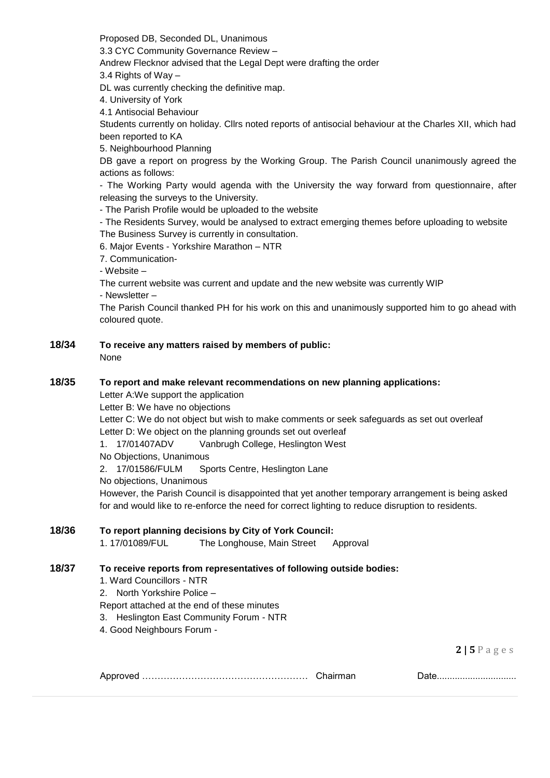Proposed DB, Seconded DL, Unanimous

3.3 CYC Community Governance Review –

Andrew Flecknor advised that the Legal Dept were drafting the order

3.4 Rights of Way –

DL was currently checking the definitive map.

4. University of York

4.1 Antisocial Behaviour

Students currently on holiday. Cllrs noted reports of antisocial behaviour at the Charles XII, which had been reported to KA

5. Neighbourhood Planning

DB gave a report on progress by the Working Group. The Parish Council unanimously agreed the actions as follows:

- The Working Party would agenda with the University the way forward from questionnaire, after releasing the surveys to the University.

- The Parish Profile would be uploaded to the website

- The Residents Survey, would be analysed to extract emerging themes before uploading to website The Business Survey is currently in consultation.

6. Major Events - Yorkshire Marathon – NTR

7. Communication-

- Website –

The current website was current and update and the new website was currently WIP

- Newsletter –

The Parish Council thanked PH for his work on this and unanimously supported him to go ahead with coloured quote.

**18/34 To receive any matters raised by members of public:** None

### **18/35 To report and make relevant recommendations on new planning applications:**

Letter A:We support the application

Letter B: We have no objections

Letter C: We do not object but wish to make comments or seek safeguards as set out overleaf Letter D: We object on the planning grounds set out overleaf

1. 17/01407ADV Vanbrugh College, Heslington West

No Objections, Unanimous

2. 17/01586/FULM Sports Centre, Heslington Lane

No objections, Unanimous

However, the Parish Council is disappointed that yet another temporary arrangement is being asked for and would like to re-enforce the need for correct lighting to reduce disruption to residents.

# **18/36 To report planning decisions by City of York Council:**

1. 17/01089/FUL The Longhouse, Main Street Approval

## **18/37 To receive reports from representatives of following outside bodies:**

1. Ward Councillors - NTR

2. North Yorkshire Police –

Report attached at the end of these minutes

3. Heslington East Community Forum - NTR

4. Good Neighbours Forum -

**2 | 5** P a g e s

| . .<br>$\sim$ |  |  |
|---------------|--|--|
|---------------|--|--|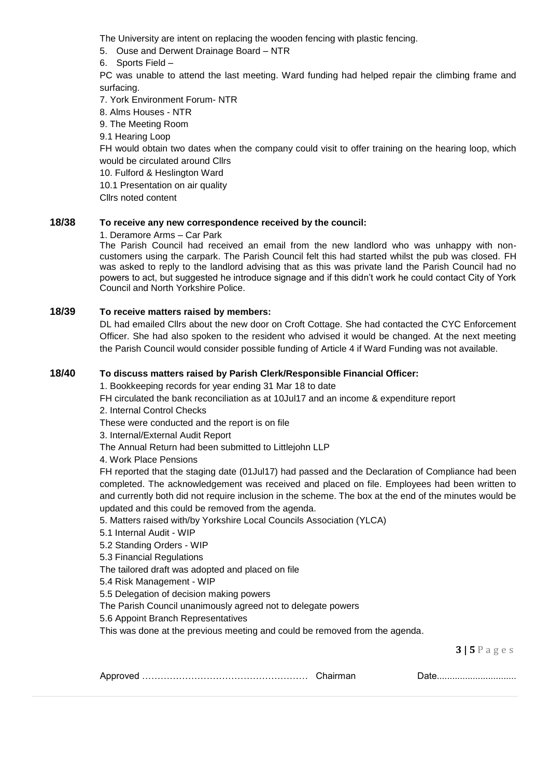The University are intent on replacing the wooden fencing with plastic fencing.

- 5. Ouse and Derwent Drainage Board NTR
- 6. Sports Field –

PC was unable to attend the last meeting. Ward funding had helped repair the climbing frame and surfacing.

7. York Environment Forum- NTR

- 8. Alms Houses NTR
- 9. The Meeting Room
- 9.1 Hearing Loop

FH would obtain two dates when the company could visit to offer training on the hearing loop, which would be circulated around Cllrs

10. Fulford & Heslington Ward

10.1 Presentation on air quality

Cllrs noted content

# **18/38 To receive any new correspondence received by the council:**

1. Deramore Arms – Car Park

The Parish Council had received an email from the new landlord who was unhappy with noncustomers using the carpark. The Parish Council felt this had started whilst the pub was closed. FH was asked to reply to the landlord advising that as this was private land the Parish Council had no powers to act, but suggested he introduce signage and if this didn't work he could contact City of York Council and North Yorkshire Police.

## **18/39 To receive matters raised by members:**

DL had emailed Cllrs about the new door on Croft Cottage. She had contacted the CYC Enforcement Officer. She had also spoken to the resident who advised it would be changed. At the next meeting the Parish Council would consider possible funding of Article 4 if Ward Funding was not available.

## **18/40 To discuss matters raised by Parish Clerk/Responsible Financial Officer:**

1. Bookkeeping records for year ending 31 Mar 18 to date

FH circulated the bank reconciliation as at 10Jul17 and an income & expenditure report

2. Internal Control Checks

These were conducted and the report is on file

3. Internal/External Audit Report

The Annual Return had been submitted to Littlejohn LLP

4. Work Place Pensions

FH reported that the staging date (01Jul17) had passed and the Declaration of Compliance had been completed. The acknowledgement was received and placed on file. Employees had been written to and currently both did not require inclusion in the scheme. The box at the end of the minutes would be updated and this could be removed from the agenda.

5. Matters raised with/by Yorkshire Local Councils Association (YLCA)

- 5.1 Internal Audit WIP
- 5.2 Standing Orders WIP

5.3 Financial Regulations

The tailored draft was adopted and placed on file

5.4 Risk Management - WIP

5.5 Delegation of decision making powers

The Parish Council unanimously agreed not to delegate powers

5.6 Appoint Branch Representatives

This was done at the previous meeting and could be removed from the agenda.

**3 | 5** P a g e s

|--|--|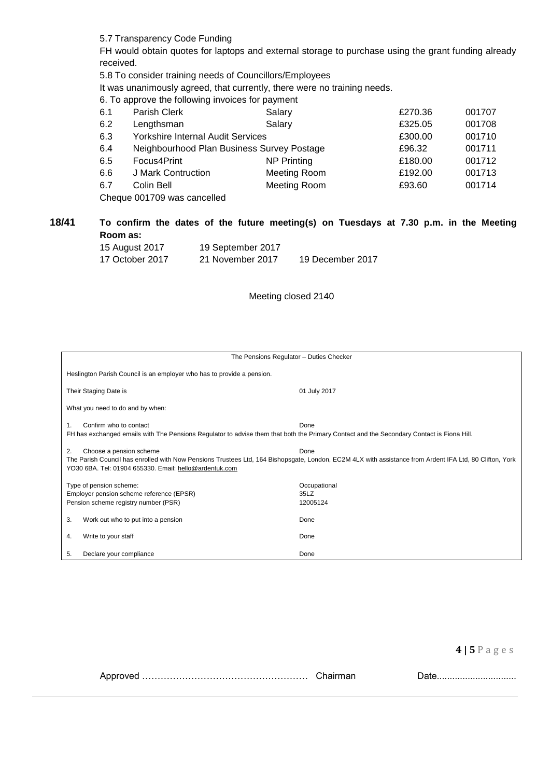5.7 Transparency Code Funding

FH would obtain quotes for laptops and external storage to purchase using the grant funding already received.

5.8 To consider training needs of Councillors/Employees

It was unanimously agreed, that currently, there were no training needs.

6. To approve the following invoices for payment

| 6.1 | Parish Clerk                               | Salary             | £270.36 | 001707 |
|-----|--------------------------------------------|--------------------|---------|--------|
| 6.2 | Lengthsman                                 | Salary             | £325.05 | 001708 |
| 6.3 | Yorkshire Internal Audit Services          |                    | £300.00 | 001710 |
| 6.4 | Neighbourhood Plan Business Survey Postage |                    | £96.32  | 001711 |
| 6.5 | Focus4Print                                | <b>NP Printing</b> | £180.00 | 001712 |
| 6.6 | J Mark Contruction                         | Meeting Room       | £192.00 | 001713 |
| 6.7 | Colin Bell                                 | Meeting Room       | £93.60  | 001714 |
|     | Cheque 001709 was cancelled                |                    |         |        |

**18/41 To confirm the dates of the future meeting(s) on Tuesdays at 7.30 p.m. in the Meeting Room as:**

| 15 August 2017  | 19 September 2017 |                  |
|-----------------|-------------------|------------------|
| 17 October 2017 | 21 November 2017  | 19 December 2017 |

### Meeting closed 2140

| The Pensions Regulator - Duties Checker                                                                                                                                                                                                                    |                                  |  |  |
|------------------------------------------------------------------------------------------------------------------------------------------------------------------------------------------------------------------------------------------------------------|----------------------------------|--|--|
| Heslington Parish Council is an employer who has to provide a pension.                                                                                                                                                                                     |                                  |  |  |
| Their Staging Date is                                                                                                                                                                                                                                      | 01 July 2017                     |  |  |
| What you need to do and by when:                                                                                                                                                                                                                           |                                  |  |  |
| Confirm who to contact<br>Done<br>FH has exchanged emails with The Pensions Regulator to advise them that both the Primary Contact and the Secondary Contact is Fiona Hill.                                                                                |                                  |  |  |
| Choose a pension scheme<br>Done<br>2.<br>The Parish Council has enrolled with Now Pensions Trustees Ltd, 164 Bishopsgate, London, EC2M 4LX with assistance from Ardent IFA Ltd, 80 Clifton, York<br>YO30 6BA. Tel: 01904 655330. Email: hello@ardentuk.com |                                  |  |  |
| Type of pension scheme:<br>Employer pension scheme reference (EPSR)<br>Pension scheme registry number (PSR)                                                                                                                                                | Occupational<br>35LZ<br>12005124 |  |  |
| 3.<br>Work out who to put into a pension                                                                                                                                                                                                                   | Done                             |  |  |
| Write to your staff<br>4.                                                                                                                                                                                                                                  | Done                             |  |  |
| 5.<br>Declare your compliance                                                                                                                                                                                                                              | Done                             |  |  |

Approved ……………………………………………… Chairman Date...............................